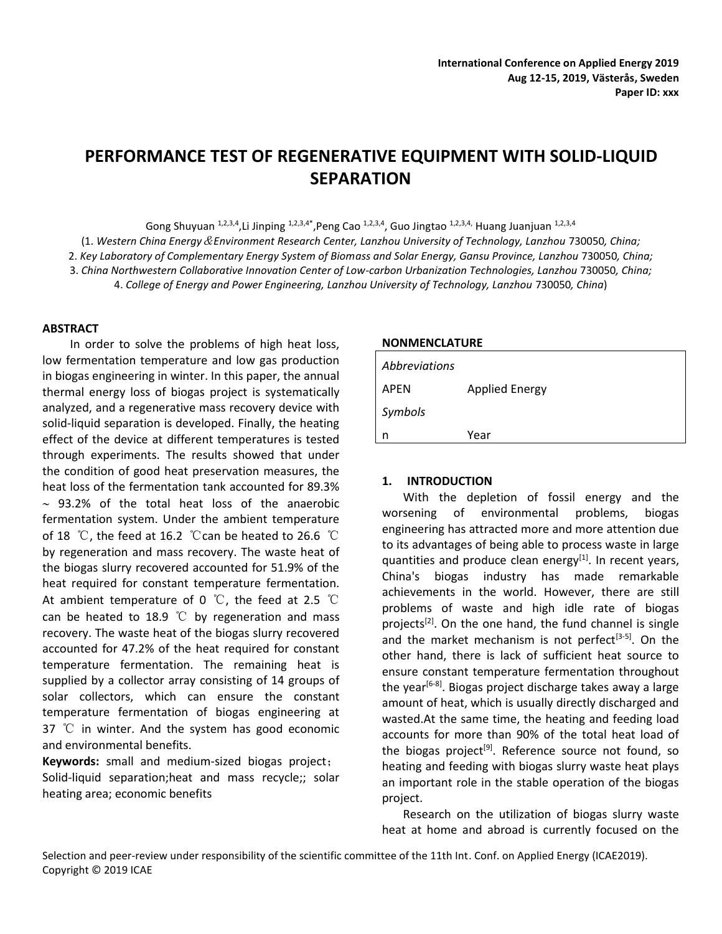# **PERFORMANCE TEST OF REGENERATIVE EQUIPMENT WITH SOLID-LIQUID SEPARATION**

Gong Shuyuan <sup>1,2,3,4</sup>,Li Jinping <sup>1,2,3,4\*</sup>, Peng Cao <sup>1,2,3,4</sup>, Guo Jingtao <sup>1,2,3,4,</sup> Huang Juanjuan <sup>1,2,3,4</sup>

(1. *Western China Energy*&*Environment Research Center, Lanzhou University of Technology, Lanzhou* 730050*, China;* 2. *Key Laboratory of Complementary Energy System of Biomass and Solar Energy, Gansu Province, Lanzhou* 730050*, China;* 3. *China Northwestern Collaborative Innovation Center of Low-carbon Urbanization Technologies, Lanzhou* 730050*, China;*

4. *College of Energy and Power Engineering, Lanzhou University of Technology, Lanzhou* 730050*, China*)

#### **ABSTRACT**

In order to solve the problems of high heat loss, low fermentation temperature and low gas production in biogas engineering in winter. In this paper, the annual thermal energy loss of biogas project is systematically analyzed, and a regenerative mass recovery device with solid-liquid separation is developed. Finally, the heating effect of the device at different temperatures is tested through experiments. The results showed that under the condition of good heat preservation measures, the heat loss of the fermentation tank accounted for 89.3%  $\sim$  93.2% of the total heat loss of the anaerobic fermentation system. Under the ambient temperature of 18 ℃, the feed at 16.2 ℃can be heated to 26.6 ℃ by regeneration and mass recovery. The waste heat of the biogas slurry recovered accounted for 51.9% of the heat required for constant temperature fermentation. At ambient temperature of 0 ℃, the feed at 2.5 ℃ can be heated to 18.9 ℃ by regeneration and mass recovery. The waste heat of the biogas slurry recovered accounted for 47.2% of the heat required for constant temperature fermentation. The remaining heat is supplied by a collector array consisting of 14 groups of solar collectors, which can ensure the constant temperature fermentation of biogas engineering at 37 ℃ in winter. And the system has good economic and environmental benefits.

**Keywords:** small and medium-sized biogas project; Solid-liquid separation;heat and mass recycle;; solar heating area; economic benefits

#### **NONMENCLATURE**

| Abbreviations |                       |
|---------------|-----------------------|
| APEN          | <b>Applied Energy</b> |
| Symbols       |                       |
| n             | Year                  |

#### **1. INTRODUCTION**

With the depletion of fossil energy and the worsening of environmental problems, biogas engineering has attracted more and more attention due to its advantages of being able to process waste in large quantities and produce clean energy<sup>[1]</sup>. In recent years, China's biogas industry has made remarkable achievements in the world. However, there are still problems of waste and high idle rate of biogas projects<sup>[2]</sup>. On the one hand, the fund channel is single and the market mechanism is not perfect<sup>[3-5]</sup>. On the other hand, there is lack of sufficient heat source to ensure constant temperature fermentation throughout the year<sup>[6-8]</sup>. Biogas project discharge takes away a large amount of heat, which is usually directly discharged and wasted.At the same time, the heating and feeding load accounts for more than 90% of the total heat load of the biogas project<sup>[9]</sup>. Reference source not found, so heating and feeding with biogas slurry waste heat plays an important role in the stable operation of the biogas project.

Research on the utilization of biogas slurry waste heat at home and abroad is currently focused on the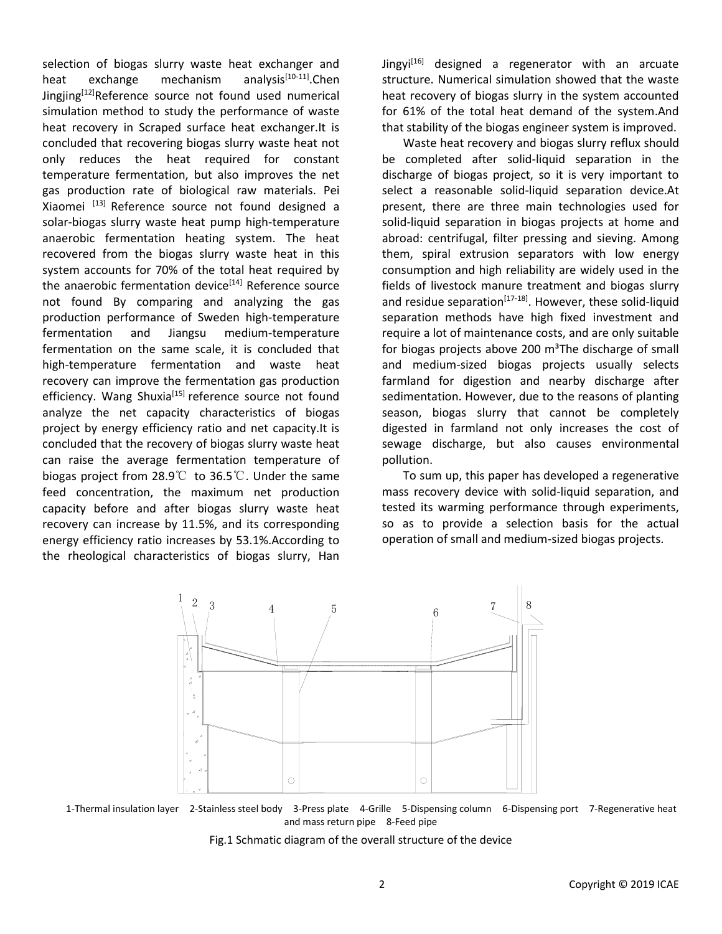selection of biogas slurry waste heat exchanger and heat exchange mechanism analysis<sup>[10-11]</sup>. Chen Jingjing $[12]$ Reference source not found used numerical simulation method to study the performance of waste heat recovery in Scraped surface heat exchanger.It is concluded that recovering biogas slurry waste heat not only reduces the heat required for constant temperature fermentation, but also improves the net gas production rate of biological raw materials. Pei Xiaomei [13] Reference source not found designed a solar-biogas slurry waste heat pump high-temperature anaerobic fermentation heating system. The heat recovered from the biogas slurry waste heat in this system accounts for 70% of the total heat required by the anaerobic fermentation device<sup>[14]</sup> Reference source not found By comparing and analyzing the gas production performance of Sweden high-temperature fermentation and Jiangsu medium-temperature fermentation on the same scale, it is concluded that high-temperature fermentation and waste heat recovery can improve the fermentation gas production efficiency. Wang Shuxia<sup>[15]</sup> reference source not found analyze the net capacity characteristics of biogas project by energy efficiency ratio and net capacity.It is concluded that the recovery of biogas slurry waste heat can raise the average fermentation temperature of biogas project from 28.9℃ to 36.5℃. Under the same feed concentration, the maximum net production capacity before and after biogas slurry waste heat recovery can increase by 11.5%, and its corresponding energy efficiency ratio increases by 53.1%.According to the rheological characteristics of biogas slurry, Han

Jingyi<sup>[16]</sup> designed a regenerator with an arcuate structure. Numerical simulation showed that the waste heat recovery of biogas slurry in the system accounted for 61% of the total heat demand of the system.And that stability of the biogas engineer system is improved.

Waste heat recovery and biogas slurry reflux should be completed after solid-liquid separation in the discharge of biogas project, so it is very important to select a reasonable solid-liquid separation device.At present, there are three main technologies used for solid-liquid separation in biogas projects at home and abroad: centrifugal, filter pressing and sieving. Among them, spiral extrusion separators with low energy consumption and high reliability are widely used in the fields of livestock manure treatment and biogas slurry and residue separation<sup>[17-18]</sup>. However, these solid-liquid separation methods have high fixed investment and require a lot of maintenance costs, and are only suitable for biogas projects above 200  $m<sup>3</sup>$ The discharge of small and medium-sized biogas projects usually selects farmland for digestion and nearby discharge after sedimentation. However, due to the reasons of planting season, biogas slurry that cannot be completely digested in farmland not only increases the cost of sewage discharge, but also causes environmental pollution.

To sum up, this paper has developed a regenerative mass recovery device with solid-liquid separation, and tested its warming performance through experiments, so as to provide a selection basis for the actual operation of small and medium-sized biogas projects.



1-Thermal insulation layer 2-Stainless steel body 3-Press plate 4-Grille 5-Dispensing column 6-Dispensing port 7-Regenerative heat and mass return pipe 8-Feed pipe

Fig.1 Schmatic diagram of the overall structure of the device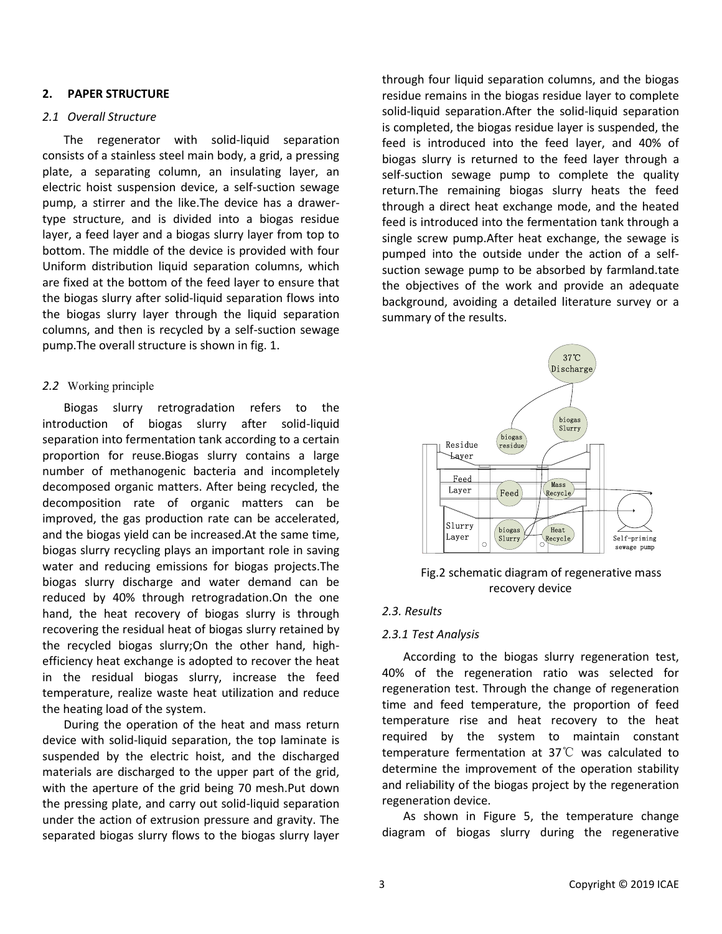### **2. PAPER STRUCTURE**

### *2.1 Overall Structure*

The regenerator with solid-liquid separation consists of a stainless steel main body, a grid, a pressing plate, a separating column, an insulating layer, an electric hoist suspension device, a self-suction sewage pump, a stirrer and the like.The device has a drawertype structure, and is divided into a biogas residue layer, a feed layer and a biogas slurry layer from top to bottom. The middle of the device is provided with four Uniform distribution liquid separation columns, which are fixed at the bottom of the feed layer to ensure that the biogas slurry after solid-liquid separation flows into the biogas slurry layer through the liquid separation columns, and then is recycled by a self-suction sewage pump.The overall structure is shown in fig. 1.

## *2.2* Working principle

Biogas slurry retrogradation refers to the introduction of biogas slurry after solid-liquid separation into fermentation tank according to a certain proportion for reuse.Biogas slurry contains a large number of methanogenic bacteria and incompletely decomposed organic matters. After being recycled, the decomposition rate of organic matters can be improved, the gas production rate can be accelerated, and the biogas yield can be increased.At the same time, biogas slurry recycling plays an important role in saving water and reducing emissions for biogas projects.The biogas slurry discharge and water demand can be reduced by 40% through retrogradation.On the one hand, the heat recovery of biogas slurry is through recovering the residual heat of biogas slurry retained by the recycled biogas slurry;On the other hand, highefficiency heat exchange is adopted to recover the heat in the residual biogas slurry, increase the feed temperature, realize waste heat utilization and reduce the heating load of the system.

During the operation of the heat and mass return device with solid-liquid separation, the top laminate is suspended by the electric hoist, and the discharged materials are discharged to the upper part of the grid, with the aperture of the grid being 70 mesh.Put down the pressing plate, and carry out solid-liquid separation under the action of extrusion pressure and gravity. The separated biogas slurry flows to the biogas slurry layer through four liquid separation columns, and the biogas residue remains in the biogas residue layer to complete solid-liquid separation.After the solid-liquid separation is completed, the biogas residue layer is suspended, the feed is introduced into the feed layer, and 40% of biogas slurry is returned to the feed layer through a self-suction sewage pump to complete the quality return.The remaining biogas slurry heats the feed through a direct heat exchange mode, and the heated feed is introduced into the fermentation tank through a single screw pump.After heat exchange, the sewage is pumped into the outside under the action of a selfsuction sewage pump to be absorbed by farmland.tate the objectives of the work and provide an adequate background, avoiding a detailed literature survey or a summary of the results.



Fig.2 schematic diagram of regenerative mass recovery device

## *2.3. Results*

#### *2.3.1 Test Analysis*

According to the biogas slurry regeneration test, 40% of the regeneration ratio was selected for regeneration test. Through the change of regeneration time and feed temperature, the proportion of feed temperature rise and heat recovery to the heat required by the system to maintain constant temperature fermentation at 37 $\mathbb{C}$  was calculated to determine the improvement of the operation stability and reliability of the biogas project by the regeneration regeneration device.

As shown in Figure 5, the temperature change diagram of biogas slurry during the regenerative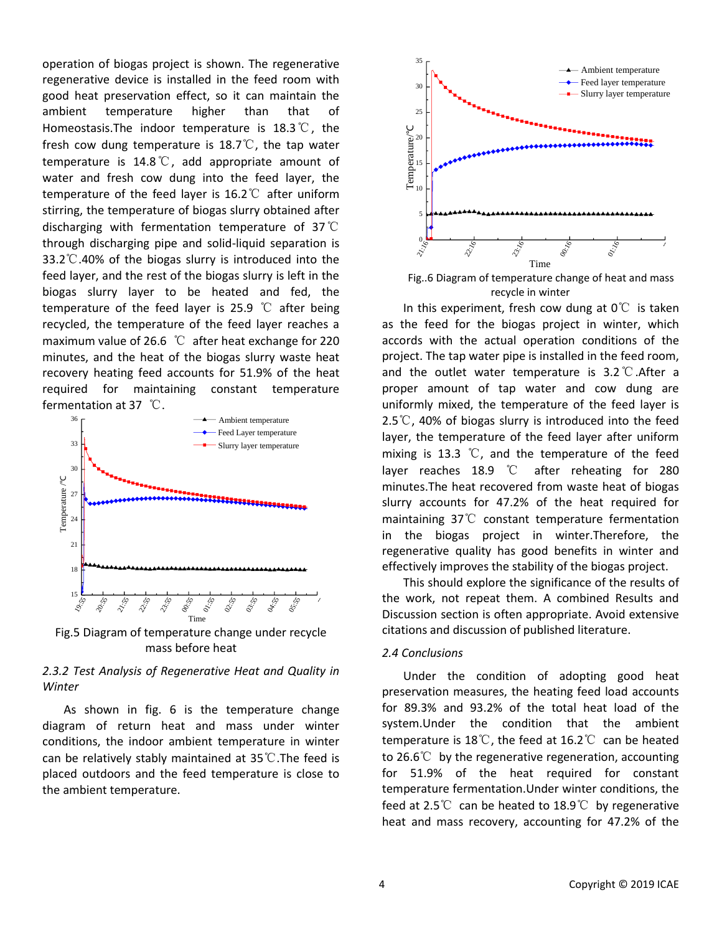operation of biogas project is shown. The regenerative regenerative device is installed in the feed room with good heat preservation effect, so it can maintain the ambient temperature higher than that of Homeostasis.The indoor temperature is 18.3℃, the fresh cow dung temperature is 18.7℃, the tap water temperature is 14.8℃, add appropriate amount of water and fresh cow dung into the feed layer, the temperature of the feed layer is 16.2℃ after uniform stirring, the temperature of biogas slurry obtained after discharging with fermentation temperature of 37℃ through discharging pipe and solid-liquid separation is 33.2℃.40% of the biogas slurry is introduced into the feed layer, and the rest of the biogas slurry is left in the biogas slurry layer to be heated and fed, the temperature of the feed layer is 25.9 ℃ after being recycled, the temperature of the feed layer reaches a maximum value of 26.6 ℃ after heat exchange for 220 minutes, and the heat of the biogas slurry waste heat recovery heating feed accounts for 51.9% of the heat required for maintaining constant temperature fermentation at 37 ℃.



Fig.5 Diagram of temperature change under recycle mass before heat

## *2.3.2 Test Analysis of Regenerative Heat and Quality in Winter*

As shown in fig. 6 is the temperature change diagram of return heat and mass under winter conditions, the indoor ambient temperature in winter can be relatively stably maintained at 35℃.The feed is placed outdoors and the feed temperature is close to the ambient temperature.



Fig..6 Diagram of temperature change of heat and mass recycle in winter

In this experiment, fresh cow dung at  $0^{\circ}$  is taken as the feed for the biogas project in winter, which accords with the actual operation conditions of the project. The tap water pipe is installed in the feed room, and the outlet water temperature is 3.2℃.After a proper amount of tap water and cow dung are uniformly mixed, the temperature of the feed layer is 2.5℃, 40% of biogas slurry is introduced into the feed layer, the temperature of the feed layer after uniform mixing is 13.3 ℃, and the temperature of the feed layer reaches 18.9 ℃ after reheating for 280 minutes.The heat recovered from waste heat of biogas slurry accounts for 47.2% of the heat required for maintaining 37℃ constant temperature fermentation in the biogas project in winter.Therefore, the regenerative quality has good benefits in winter and effectively improves the stability of the biogas project.

This should explore the significance of the results of the work, not repeat them. A combined Results and Discussion section is often appropriate. Avoid extensive citations and discussion of published literature.

#### *2.4 Conclusions*

Under the condition of adopting good heat preservation measures, the heating feed load accounts for 89.3% and 93.2% of the total heat load of the system.Under the condition that the ambient temperature is 18℃, the feed at 16.2℃ can be heated to 26.6℃ by the regenerative regeneration, accounting for 51.9% of the heat required for constant temperature fermentation.Under winter conditions, the feed at 2.5℃ can be heated to 18.9℃ by regenerative heat and mass recovery, accounting for 47.2% of the